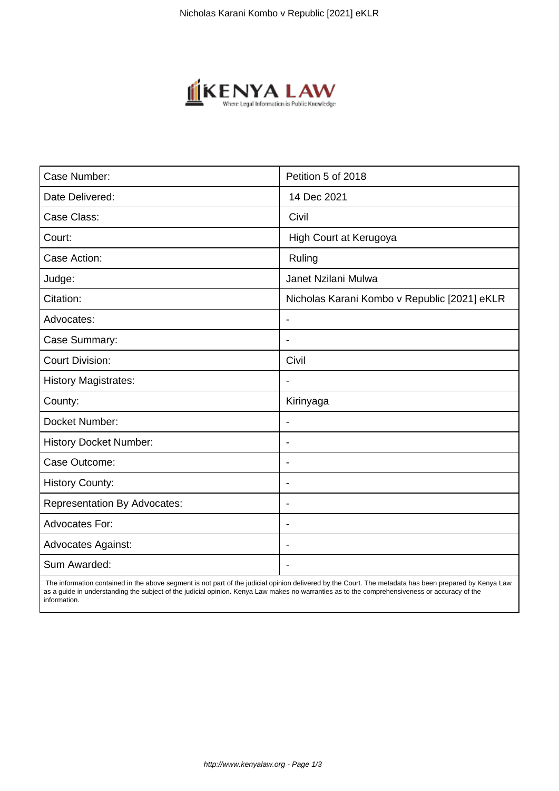

| Case Number:                        | Petition 5 of 2018                           |
|-------------------------------------|----------------------------------------------|
| Date Delivered:                     | 14 Dec 2021                                  |
| Case Class:                         | Civil                                        |
| Court:                              | High Court at Kerugoya                       |
| Case Action:                        | Ruling                                       |
| Judge:                              | Janet Nzilani Mulwa                          |
| Citation:                           | Nicholas Karani Kombo v Republic [2021] eKLR |
| Advocates:                          | $\blacksquare$                               |
| Case Summary:                       | $\overline{\phantom{a}}$                     |
| <b>Court Division:</b>              | Civil                                        |
| <b>History Magistrates:</b>         |                                              |
| County:                             | Kirinyaga                                    |
| Docket Number:                      |                                              |
| <b>History Docket Number:</b>       |                                              |
| Case Outcome:                       | $\blacksquare$                               |
| <b>History County:</b>              | $\blacksquare$                               |
| <b>Representation By Advocates:</b> | $\overline{\phantom{0}}$                     |
| <b>Advocates For:</b>               | $\overline{\phantom{a}}$                     |
| <b>Advocates Against:</b>           |                                              |
| Sum Awarded:                        |                                              |

 The information contained in the above segment is not part of the judicial opinion delivered by the Court. The metadata has been prepared by Kenya Law as a guide in understanding the subject of the judicial opinion. Kenya Law makes no warranties as to the comprehensiveness or accuracy of the information.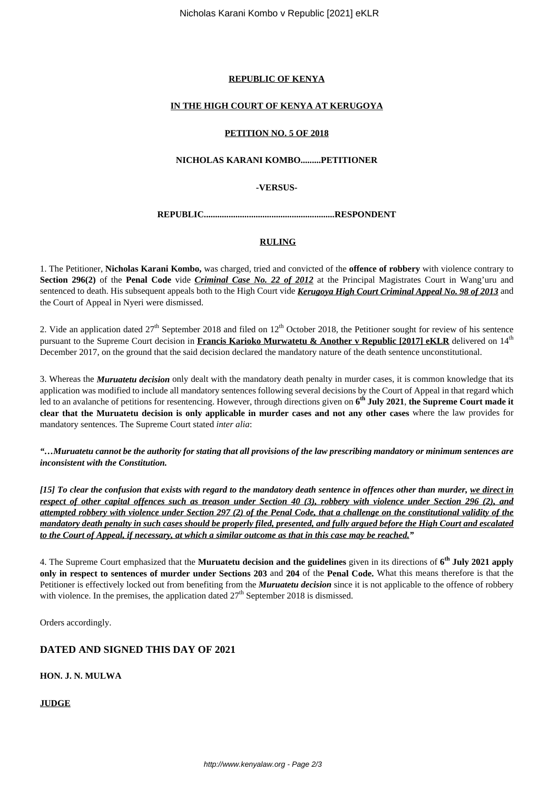#### **REPUBLIC OF KENYA**

### **IN THE HIGH COURT OF KENYA AT KERUGOYA**

#### **PETITION NO. 5 OF 2018**

### **NICHOLAS KARANI KOMBO.........PETITIONER**

**-VERSUS-**

**REPUBLIC..........................................................RESPONDENT**

### **RULING**

1. The Petitioner, **Nicholas Karani Kombo,** was charged, tried and convicted of the **offence of robbery** with violence contrary to **Section 296(2)** of the **Penal Code** vide *Criminal Case No. 22 of 2012* at the Principal Magistrates Court in Wang'uru and sentenced to death. His subsequent appeals both to the High Court vide *Kerugoya High Court Criminal Appeal No. 98 of 2013* and the Court of Appeal in Nyeri were dismissed.

2. Vide an application dated  $27<sup>th</sup>$  September 2018 and filed on  $12<sup>th</sup>$  October 2018, the Petitioner sought for review of his sentence pursuant to the Supreme Court decision in **Francis Karioko Murwatetu & Another v Republic [2017] eKLR** delivered on 14th December 2017, on the ground that the said decision declared the mandatory nature of the death sentence unconstitutional.

3. Whereas the *Muruatetu decision* only dealt with the mandatory death penalty in murder cases, it is common knowledge that its application was modified to include all mandatory sentences following several decisions by the Court of Appeal in that regard which led to an avalanche of petitions for resentencing. However, through directions given on **6 th July 2021**, **the Supreme Court made it clear that the Muruatetu decision is only applicable in murder cases and not any other cases** where the law provides for mandatory sentences. The Supreme Court stated *inter alia*:

*"…Muruatetu cannot be the authority for stating that all provisions of the law prescribing mandatory or minimum sentences are inconsistent with the Constitution.*

*[15] To clear the confusion that exists with regard to the mandatory death sentence in offences other than murder, we direct in respect of other capital offences such as treason under Section 40 (3), robbery with violence under Section 296 (2), and attempted robbery with violence under Section 297 (2) of the Penal Code, that a challenge on the constitutional validity of the mandatory death penalty in such cases should be properly filed, presented, and fully argued before the High Court and escalated to the Court of Appeal, if necessary, at which a similar outcome as that in this case may be reached."*

4. The Supreme Court emphasized that the **Muruatetu decision and the guidelines** given in its directions of **6 th July 2021 apply only in respect to sentences of murder under Sections 203** and **204** of the **Penal Code.** What this means therefore is that the Petitioner is effectively locked out from benefiting from the *Muruatetu decision* since it is not applicable to the offence of robbery with violence. In the premises, the application dated  $27<sup>th</sup>$  September 2018 is dismissed.

Orders accordingly.

## **DATED AND SIGNED THIS DAY OF 2021**

**HON. J. N. MULWA**

**JUDGE**